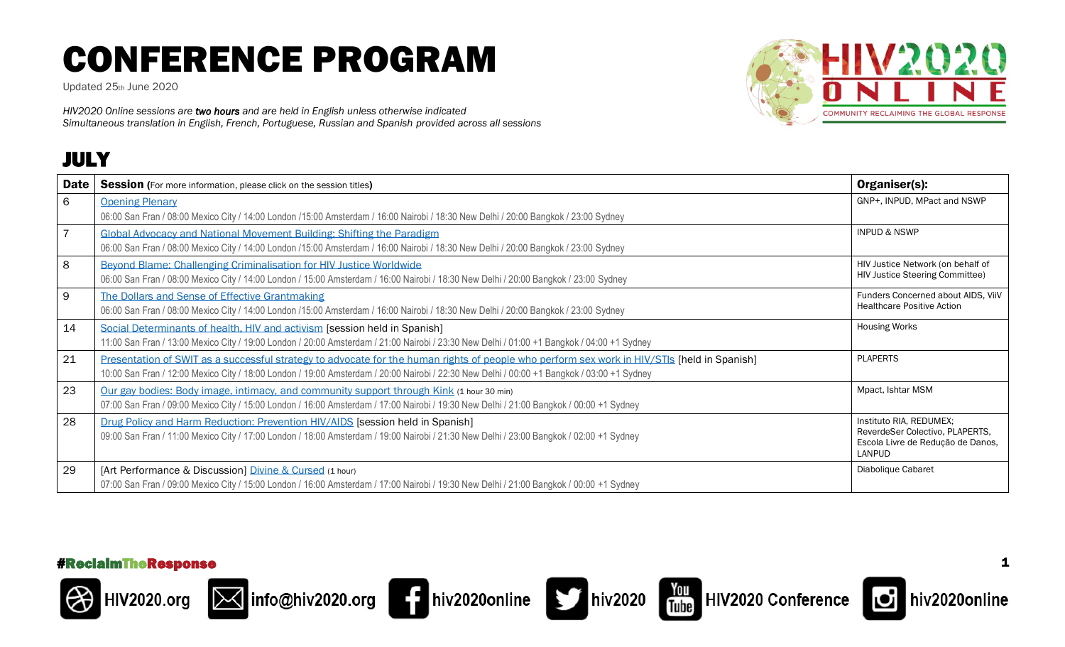Updated 25th June 2020

*HIV2020 Online sessions are two hours and are held in English unless otherwise indicated Simultaneous translation in English, French, Portuguese, Russian and Spanish provided across all sessions*

### JULY



















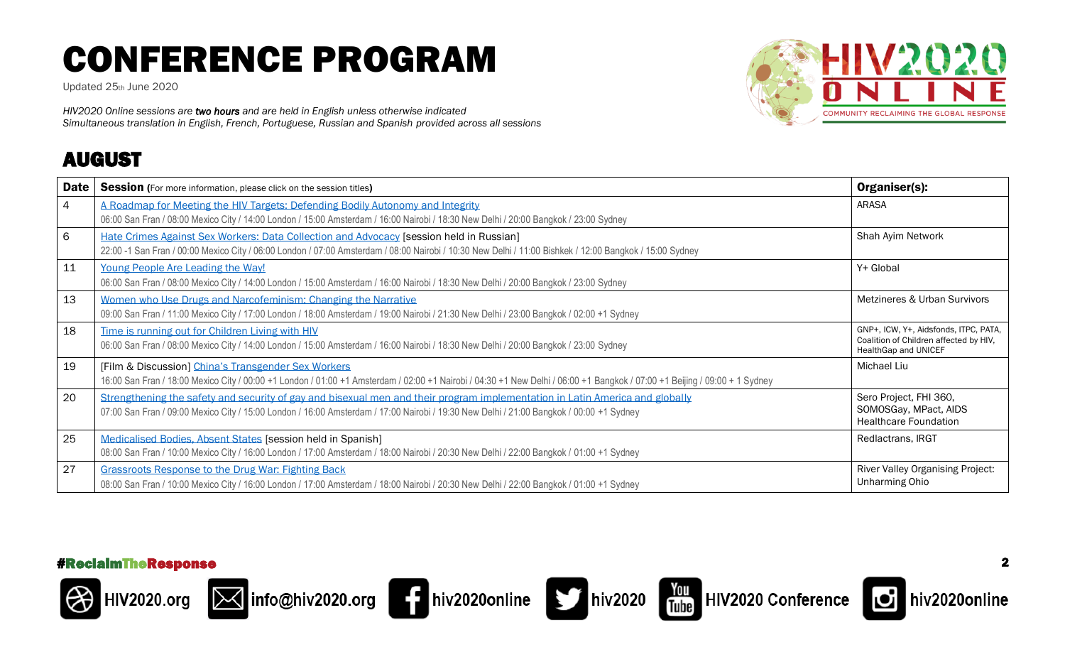Updated 25th June 2020

*HIV2020 Online sessions are two hours and are held in English unless otherwise indicated Simultaneous translation in English, French, Portuguese, Russian and Spanish provided across all sessions*

### AUGUST



| Date            | <b>Session</b> (For more information, please click on the session titles)                                                                                                                                                                                               | Organiser(s):                                                                                           |
|-----------------|-------------------------------------------------------------------------------------------------------------------------------------------------------------------------------------------------------------------------------------------------------------------------|---------------------------------------------------------------------------------------------------------|
| $\overline{4}$  | A Roadmap for Meeting the HIV Targets: Defending Bodily Autonomy and Integrity<br>06:00 San Fran / 08:00 Mexico City / 14:00 London / 15:00 Amsterdam / 16:00 Nairobi / 18:30 New Delhi / 20:00 Bangkok / 23:00 Sydney                                                  | <b>ARASA</b>                                                                                            |
| $6\phantom{1}6$ | Hate Crimes Against Sex Workers: Data Collection and Advocacy [session held in Russian]<br>22:00 -1 San Fran / 00:00 Mexico City / 06:00 London / 07:00 Amsterdam / 08:00 Nairobi / 10:30 New Delhi / 11:00 Bishkek / 12:00 Bangkok / 15:00 Sydney                      | Shah Ayim Network                                                                                       |
| 11              | Young People Are Leading the Way!<br>06:00 San Fran / 08:00 Mexico City / 14:00 London / 15:00 Amsterdam / 16:00 Nairobi / 18:30 New Delhi / 20:00 Bangkok / 23:00 Sydney                                                                                               | Y+ Global                                                                                               |
| 13              | Women who Use Drugs and Narcofeminism: Changing the Narrative<br>09:00 San Fran / 11:00 Mexico City / 17:00 London / 18:00 Amsterdam / 19:00 Nairobi / 21:30 New Delhi / 23:00 Bangkok / 02:00 +1 Sydney                                                                | Metzineres & Urban Survivors                                                                            |
| 18              | Time is running out for Children Living with HIV<br>06:00 San Fran / 08:00 Mexico City / 14:00 London / 15:00 Amsterdam / 16:00 Nairobi / 18:30 New Delhi / 20:00 Bangkok / 23:00 Sydney                                                                                | GNP+, ICW, Y+, Aidsfonds, ITPC, PATA,<br>Coalition of Children affected by HIV,<br>HealthGap and UNICEF |
| 19              | [Film & Discussion] China's Transgender Sex Workers<br>16:00 San Fran / 18:00 Mexico City / 00:00 +1 London / 01:00 +1 Amsterdam / 02:00 +1 Nairobi / 04:30 +1 New Delhi / 06:00 +1 Bangkok / 07:00 +1 Beijing / 09:00 + 1 Sydney                                       | Michael Liu                                                                                             |
| 20              | Strengthening the safety and security of gay and bisexual men and their program implementation in Latin America and globally<br>07:00 San Fran / 09:00 Mexico City / 15:00 London / 16:00 Amsterdam / 17:00 Nairobi / 19:30 New Delhi / 21:00 Bangkok / 00:00 +1 Sydney | Sero Project, FHI 360,<br>SOMOSGay, MPact, AIDS<br><b>Healthcare Foundation</b>                         |
| 25              | Medicalised Bodies, Absent States [session held in Spanish]<br>08:00 San Fran / 10:00 Mexico City / 16:00 London / 17:00 Amsterdam / 18:00 Nairobi / 20:30 New Delhi / 22:00 Bangkok / 01:00 +1 Sydney                                                                  | Redlactrans, IRGT                                                                                       |
| 27              | Grassroots Response to the Drug War: Fighting Back<br>08:00 San Fran / 10:00 Mexico City / 16:00 London / 17:00 Amsterdam / 18:00 Nairobi / 20:30 New Delhi / 22:00 Bangkok / 01:00 +1 Sydney                                                                           | <b>River Valley Organising Project:</b><br><b>Unharming Ohio</b>                                        |













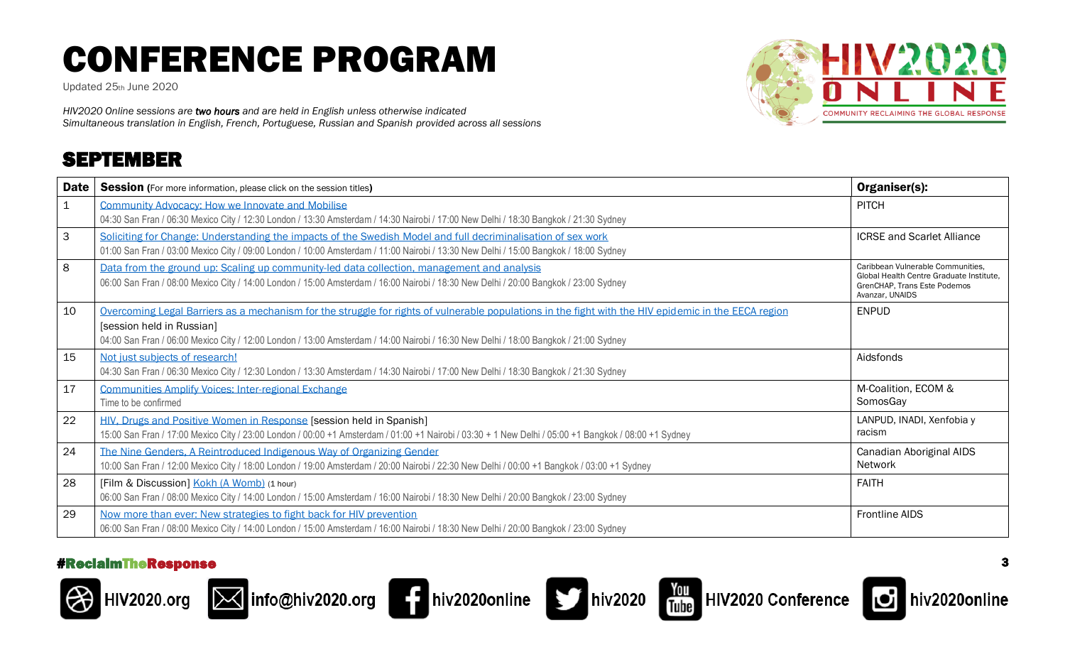Updated 25th June 2020

*HIV2020 Online sessions are two hours and are held in English unless otherwise indicated Simultaneous translation in English, French, Portuguese, Russian and Spanish provided across all sessions*

### SEPTEMBER



| <b>Date</b> | <b>Session</b> (For more information, please click on the session titles)                                                                            | Organiser(s):                                                                 |
|-------------|------------------------------------------------------------------------------------------------------------------------------------------------------|-------------------------------------------------------------------------------|
|             | Community Advocacy: How we Innovate and Mobilise                                                                                                     | <b>PITCH</b>                                                                  |
|             | 04:30 San Fran / 06:30 Mexico City / 12:30 London / 13:30 Amsterdam / 14:30 Nairobi / 17:00 New Delhi / 18:30 Bangkok / 21:30 Sydney                 |                                                                               |
| 3           | Soliciting for Change: Understanding the impacts of the Swedish Model and full decriminalisation of sex work                                         | <b>ICRSE and Scarlet Alliance</b>                                             |
|             | 01:00 San Fran / 03:00 Mexico City / 09:00 London / 10:00 Amsterdam / 11:00 Nairobi / 13:30 New Delhi / 15:00 Bangkok / 18:00 Sydney                 |                                                                               |
| 8           | Data from the ground up: Scaling up community-led data collection, management and analysis                                                           | Caribbean Vulnerable Communities.<br>Global Health Centre Graduate Institute, |
|             | 06:00 San Fran / 08:00 Mexico City / 14:00 London / 15:00 Amsterdam / 16:00 Nairobi / 18:30 New Delhi / 20:00 Bangkok / 23:00 Sydney                 | GrenCHAP. Trans Este Podemos<br>Avanzar, UNAIDS                               |
| 10          | Overcoming Legal Barriers as a mechanism for the struggle for rights of vulnerable populations in the fight with the HIV epidemic in the EECA region | <b>ENPUD</b>                                                                  |
|             | [session held in Russian]                                                                                                                            |                                                                               |
|             | 04:00 San Fran / 06:00 Mexico City / 12:00 London / 13:00 Amsterdam / 14:00 Nairobi / 16:30 New Delhi / 18:00 Bangkok / 21:00 Sydney                 |                                                                               |
| 15          | Not just subjects of research!                                                                                                                       | Aidsfonds                                                                     |
|             | 04:30 San Fran / 06:30 Mexico City / 12:30 London / 13:30 Amsterdam / 14:30 Nairobi / 17:00 New Delhi / 18:30 Bangkok / 21:30 Sydney                 |                                                                               |
| 17          | <b>Communities Amplify Voices: Inter-regional Exchange</b>                                                                                           | M-Coalition, ECOM &                                                           |
|             | Time to be confirmed                                                                                                                                 | SomosGay                                                                      |
| 22          | HIV, Drugs and Positive Women in Response [session held in Spanish]                                                                                  | LANPUD, INADI, Xenfobia y                                                     |
|             | 15:00 San Fran / 17:00 Mexico City / 23:00 London / 00:00 +1 Amsterdam / 01:00 +1 Nairobi / 03:30 + 1 New Delhi / 05:00 +1 Bangkok / 08:00 +1 Sydney | racism                                                                        |
| 24          | The Nine Genders, A Reintroduced Indigenous Way of Organizing Gender                                                                                 | Canadian Aboriginal AIDS                                                      |
|             | 10:00 San Fran / 12:00 Mexico City / 18:00 London / 19:00 Amsterdam / 20:00 Nairobi / 22:30 New Delhi / 00:00 +1 Bangkok / 03:00 +1 Sydney           | <b>Network</b>                                                                |
| 28          | [Film & Discussion] Kokh (A Womb) (1 hour)                                                                                                           | <b>FAITH</b>                                                                  |
|             | 06:00 San Fran / 08:00 Mexico City / 14:00 London / 15:00 Amsterdam / 16:00 Nairobi / 18:30 New Delhi / 20:00 Bangkok / 23:00 Sydney                 |                                                                               |
| 29          | Now more than ever: New strategies to fight back for HIV prevention                                                                                  | <b>Frontline AIDS</b>                                                         |
|             | 06:00 San Fran / 08:00 Mexico City / 14:00 London / 15:00 Amsterdam / 16:00 Nairobi / 18:30 New Delhi / 20:00 Bangkok / 23:00 Sydney                 |                                                                               |

#### #ReclaimTheResponse 3







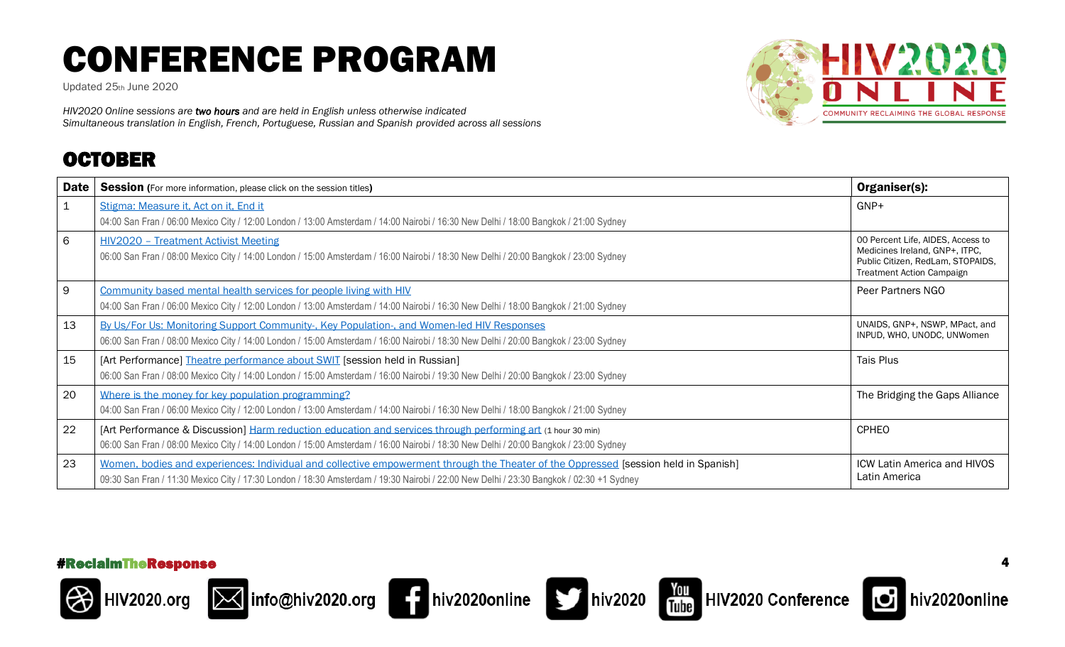Updated 25th June 2020

*HIV2020 Online sessions are two hours and are held in English unless otherwise indicated Simultaneous translation in English, French, Portuguese, Russian and Spanish provided across all sessions*

### OCTOBER



| <b>Date</b>  | <b>Session</b> (For more information, please click on the session titles)                                                                                                                                                                                                      | Organiser(s):                                                                                                                                |
|--------------|--------------------------------------------------------------------------------------------------------------------------------------------------------------------------------------------------------------------------------------------------------------------------------|----------------------------------------------------------------------------------------------------------------------------------------------|
| $\mathbf{1}$ | Stigma: Measure it, Act on it, End it<br>04:00 San Fran / 06:00 Mexico City / 12:00 London / 13:00 Amsterdam / 14:00 Nairobi / 16:30 New Delhi / 18:00 Bangkok / 21:00 Sydney                                                                                                  | GNP+                                                                                                                                         |
| 6            | <b>HIV2020 - Treatment Activist Meeting</b><br>06:00 San Fran / 08:00 Mexico City / 14:00 London / 15:00 Amsterdam / 16:00 Nairobi / 18:30 New Delhi / 20:00 Bangkok / 23:00 Sydney                                                                                            | 00 Percent Life, AIDES, Access to<br>Medicines Ireland, GNP+, ITPC,<br>Public Citizen, RedLam, STOPAIDS,<br><b>Treatment Action Campaign</b> |
| 9            | Community based mental health services for people living with HIV<br>04:00 San Fran / 06:00 Mexico City / 12:00 London / 13:00 Amsterdam / 14:00 Nairobi / 16:30 New Delhi / 18:00 Bangkok / 21:00 Sydney                                                                      | Peer Partners NGO                                                                                                                            |
| 13           | By Us/For Us: Monitoring Support Community-, Key Population-, and Women-led HIV Responses<br>06:00 San Fran / 08:00 Mexico City / 14:00 London / 15:00 Amsterdam / 16:00 Nairobi / 18:30 New Delhi / 20:00 Bangkok / 23:00 Sydney                                              | UNAIDS, GNP+, NSWP, MPact, and<br>INPUD, WHO, UNODC, UNWomen                                                                                 |
| 15           | [Art Performance] Theatre performance about SWIT [session held in Russian]<br>06:00 San Fran / 08:00 Mexico City / 14:00 London / 15:00 Amsterdam / 16:00 Nairobi / 19:30 New Delhi / 20:00 Bangkok / 23:00 Sydney                                                             | <b>Tais Plus</b>                                                                                                                             |
| 20           | Where is the money for key population programming?<br>04:00 San Fran / 06:00 Mexico City / 12:00 London / 13:00 Amsterdam / 14:00 Nairobi / 16:30 New Delhi / 18:00 Bangkok / 21:00 Sydney                                                                                     | The Bridging the Gaps Alliance                                                                                                               |
| 22           | [Art Performance & Discussion] Harm reduction education and services through performing art (1 hour 30 min)<br>06:00 San Fran / 08:00 Mexico City / 14:00 London / 15:00 Amsterdam / 16:00 Nairobi / 18:30 New Delhi / 20:00 Bangkok / 23:00 Sydney                            | <b>CPHEO</b>                                                                                                                                 |
| 23           | Women, bodies and experiences: Individual and collective empowerment through the Theater of the Oppressed [session held in Spanish]<br>09:30 San Fran / 11:30 Mexico City / 17:30 London / 18:30 Amsterdam / 19:30 Nairobi / 22:00 New Delhi / 23:30 Bangkok / 02:30 +1 Sydney | <b>ICW Latin America and HIVOS</b><br>Latin America                                                                                          |















hiv2020online